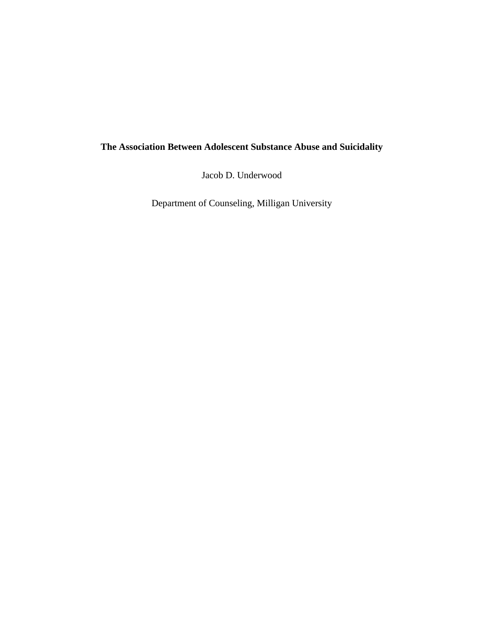# **The Association Between Adolescent Substance Abuse and Suicidality**

Jacob D. Underwood

Department of Counseling, Milligan University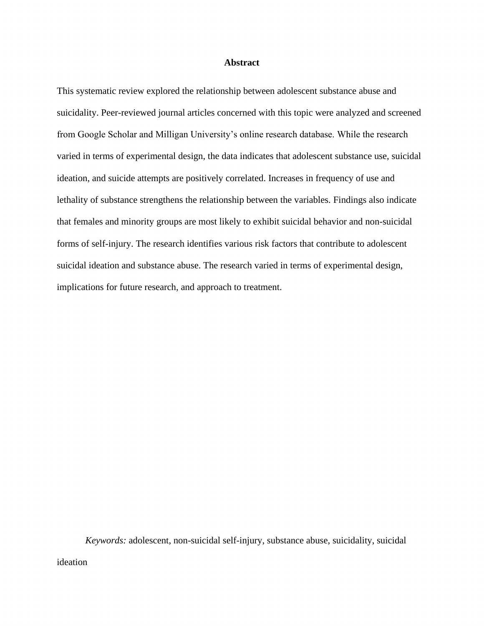# **Abstract**

This systematic review explored the relationship between adolescent substance abuse and suicidality. Peer-reviewed journal articles concerned with this topic were analyzed and screened from Google Scholar and Milligan University's online research database. While the research varied in terms of experimental design, the data indicates that adolescent substance use, suicidal ideation, and suicide attempts are positively correlated. Increases in frequency of use and lethality of substance strengthens the relationship between the variables. Findings also indicate that females and minority groups are most likely to exhibit suicidal behavior and non-suicidal forms of self-injury. The research identifies various risk factors that contribute to adolescent suicidal ideation and substance abuse. The research varied in terms of experimental design, implications for future research, and approach to treatment.

*Keywords:* adolescent, non-suicidal self-injury, substance abuse, suicidality, suicidal ideation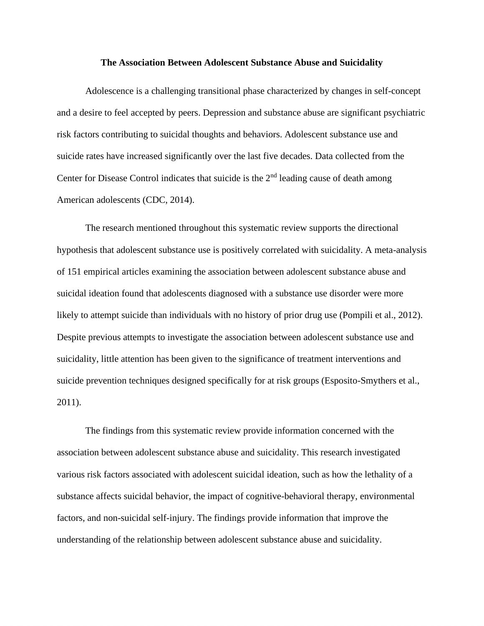#### **The Association Between Adolescent Substance Abuse and Suicidality**

Adolescence is a challenging transitional phase characterized by changes in self-concept and a desire to feel accepted by peers. Depression and substance abuse are significant psychiatric risk factors contributing to suicidal thoughts and behaviors. Adolescent substance use and suicide rates have increased significantly over the last five decades. Data collected from the Center for Disease Control indicates that suicide is the 2<sup>nd</sup> leading cause of death among American adolescents (CDC, 2014).

The research mentioned throughout this systematic review supports the directional hypothesis that adolescent substance use is positively correlated with suicidality. A meta-analysis of 151 empirical articles examining the association between adolescent substance abuse and suicidal ideation found that adolescents diagnosed with a substance use disorder were more likely to attempt suicide than individuals with no history of prior drug use (Pompili et al., 2012). Despite previous attempts to investigate the association between adolescent substance use and suicidality, little attention has been given to the significance of treatment interventions and suicide prevention techniques designed specifically for at risk groups (Esposito-Smythers et al., 2011).

The findings from this systematic review provide information concerned with the association between adolescent substance abuse and suicidality. This research investigated various risk factors associated with adolescent suicidal ideation, such as how the lethality of a substance affects suicidal behavior, the impact of cognitive-behavioral therapy, environmental factors, and non-suicidal self-injury. The findings provide information that improve the understanding of the relationship between adolescent substance abuse and suicidality.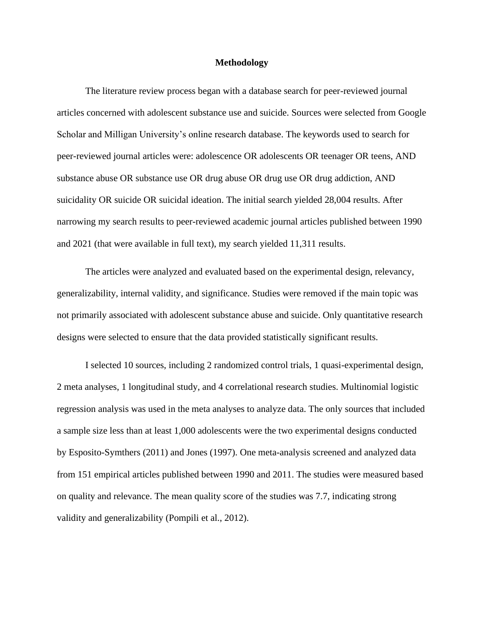#### **Methodology**

The literature review process began with a database search for peer-reviewed journal articles concerned with adolescent substance use and suicide. Sources were selected from Google Scholar and Milligan University's online research database. The keywords used to search for peer-reviewed journal articles were: adolescence OR adolescents OR teenager OR teens, AND substance abuse OR substance use OR drug abuse OR drug use OR drug addiction, AND suicidality OR suicide OR suicidal ideation. The initial search yielded 28,004 results. After narrowing my search results to peer-reviewed academic journal articles published between 1990 and 2021 (that were available in full text), my search yielded 11,311 results.

The articles were analyzed and evaluated based on the experimental design, relevancy, generalizability, internal validity, and significance. Studies were removed if the main topic was not primarily associated with adolescent substance abuse and suicide. Only quantitative research designs were selected to ensure that the data provided statistically significant results.

I selected 10 sources, including 2 randomized control trials, 1 quasi-experimental design, 2 meta analyses, 1 longitudinal study, and 4 correlational research studies. Multinomial logistic regression analysis was used in the meta analyses to analyze data. The only sources that included a sample size less than at least 1,000 adolescents were the two experimental designs conducted by Esposito-Symthers (2011) and Jones (1997). One meta-analysis screened and analyzed data from 151 empirical articles published between 1990 and 2011. The studies were measured based on quality and relevance. The mean quality score of the studies was 7.7, indicating strong validity and generalizability (Pompili et al., 2012).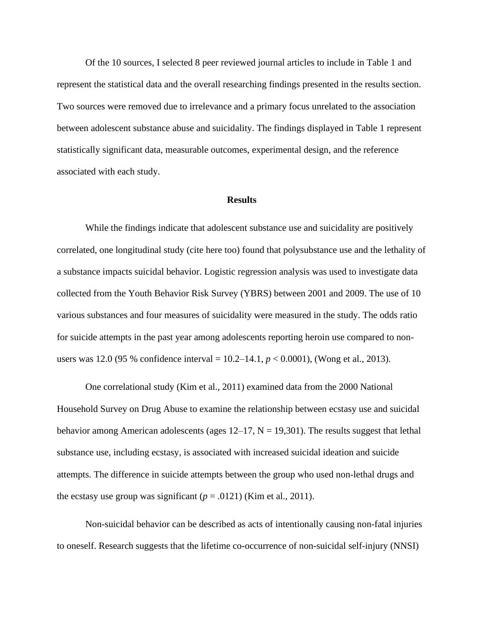Of the 10 sources, I selected 8 peer reviewed journal articles to include in Table 1 and represent the statistical data and the overall researching findings presented in the results section. Two sources were removed due to irrelevance and a primary focus unrelated to the association between adolescent substance abuse and suicidality. The findings displayed in Table 1 represent statistically significant data, measurable outcomes, experimental design, and the reference associated with each study.

## **Results**

While the findings indicate that adolescent substance use and suicidality are positively correlated, one longitudinal study (cite here too) found that polysubstance use and the lethality of a substance impacts suicidal behavior. Logistic regression analysis was used to investigate data collected from the Youth Behavior Risk Survey (YBRS) between 2001 and 2009. The use of 10 various substances and four measures of suicidality were measured in the study. The odds ratio for suicide attempts in the past year among adolescents reporting heroin use compared to nonusers was 12.0 (95 % confidence interval = 10.2–14.1, *p* < 0.0001), (Wong et al., 2013).

One correlational study (Kim et al., 2011) examined data from the 2000 National Household Survey on Drug Abuse to examine the relationship between ecstasy use and suicidal behavior among American adolescents (ages  $12-17$ ,  $N = 19,301$ ). The results suggest that lethal substance use, including ecstasy, is associated with increased suicidal ideation and suicide attempts. The difference in suicide attempts between the group who used non-lethal drugs and the ecstasy use group was significant  $(p = .0121)$  (Kim et al., 2011).

Non-suicidal behavior can be described as acts of intentionally causing non-fatal injuries to oneself. Research suggests that the lifetime co-occurrence of non-suicidal self-injury (NNSI)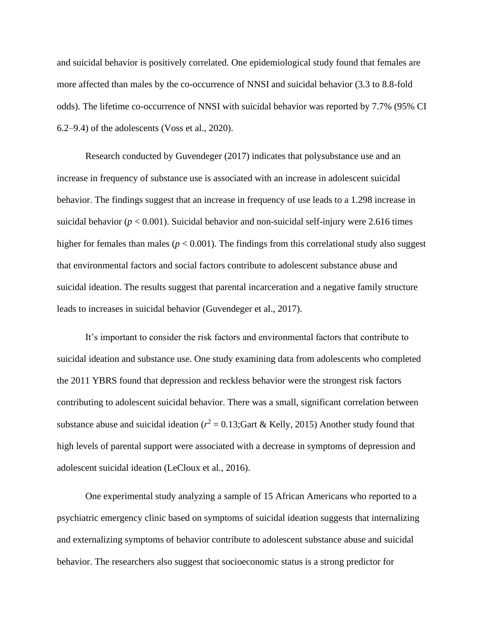and suicidal behavior is positively correlated. One epidemiological study found that females are more affected than males by the co-occurrence of NNSI and suicidal behavior (3.3 to 8.8-fold odds). The lifetime co-occurrence of NNSI with suicidal behavior was reported by 7.7% (95% CI 6.2–9.4) of the adolescents (Voss et al., 2020).

Research conducted by Guvendeger (2017) indicates that polysubstance use and an increase in frequency of substance use is associated with an increase in adolescent suicidal behavior. The findings suggest that an increase in frequency of use leads to a 1.298 increase in suicidal behavior ( $p < 0.001$ ). Suicidal behavior and non-suicidal self-injury were 2.616 times higher for females than males ( $p < 0.001$ ). The findings from this correlational study also suggest that environmental factors and social factors contribute to adolescent substance abuse and suicidal ideation. The results suggest that parental incarceration and a negative family structure leads to increases in suicidal behavior (Guvendeger et al., 2017).

It's important to consider the risk factors and environmental factors that contribute to suicidal ideation and substance use. One study examining data from adolescents who completed the 2011 YBRS found that depression and reckless behavior were the strongest risk factors contributing to adolescent suicidal behavior. There was a small, significant correlation between substance abuse and suicidal ideation ( $r^2 = 0.13$ ; Gart & Kelly, 2015) Another study found that high levels of parental support were associated with a decrease in symptoms of depression and adolescent suicidal ideation (LeCloux et al., 2016).

One experimental study analyzing a sample of 15 African Americans who reported to a psychiatric emergency clinic based on symptoms of suicidal ideation suggests that internalizing and externalizing symptoms of behavior contribute to adolescent substance abuse and suicidal behavior. The researchers also suggest that socioeconomic status is a strong predictor for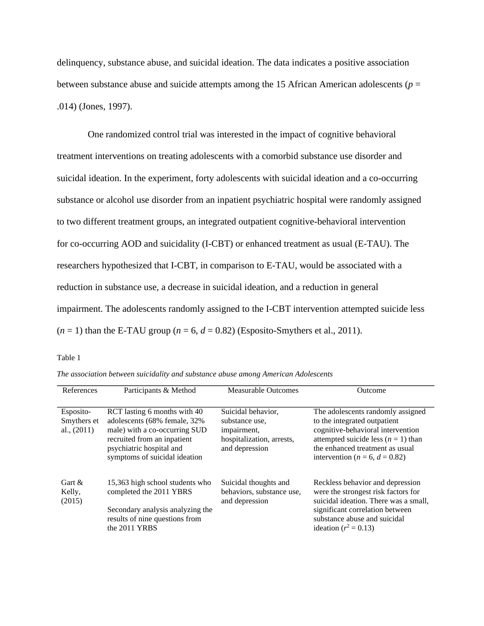delinquency, substance abuse, and suicidal ideation. The data indicates a positive association between substance abuse and suicide attempts among the 15 African American adolescents ( $p =$ .014) (Jones, 1997).

One randomized control trial was interested in the impact of cognitive behavioral treatment interventions on treating adolescents with a comorbid substance use disorder and suicidal ideation. In the experiment, forty adolescents with suicidal ideation and a co-occurring substance or alcohol use disorder from an inpatient psychiatric hospital were randomly assigned to two different treatment groups, an integrated outpatient cognitive-behavioral intervention for co-occurring AOD and suicidality (I-CBT) or enhanced treatment as usual (E-TAU). The researchers hypothesized that I-CBT, in comparison to E-TAU, would be associated with a reduction in substance use, a decrease in suicidal ideation, and a reduction in general impairment. The adolescents randomly assigned to the I-CBT intervention attempted suicide less  $(n = 1)$  than the E-TAU group  $(n = 6, d = 0.82)$  (Esposito-Smythers et al., 2011).

# Table 1

|  | The association between suicidality and substance abuse among American Adolescents |  |
|--|------------------------------------------------------------------------------------|--|
|--|------------------------------------------------------------------------------------|--|

| References                                | Participants & Method                                                                                                                                                                     | <b>Measurable Outcomes</b>                                                                         | Outcome                                                                                                                                                                                                                       |
|-------------------------------------------|-------------------------------------------------------------------------------------------------------------------------------------------------------------------------------------------|----------------------------------------------------------------------------------------------------|-------------------------------------------------------------------------------------------------------------------------------------------------------------------------------------------------------------------------------|
| Esposito-<br>Smythers et<br>al., $(2011)$ | RCT lasting 6 months with 40<br>adolescents (68% female, 32%<br>male) with a co-occurring SUD<br>recruited from an inpatient<br>psychiatric hospital and<br>symptoms of suicidal ideation | Suicidal behavior,<br>substance use.<br>impairment,<br>hospitalization, arrests,<br>and depression | The adolescents randomly assigned<br>to the integrated outpatient<br>cognitive-behavioral intervention<br>attempted suicide less ( $n = 1$ ) than<br>the enhanced treatment as usual<br>intervention ( $n = 6$ , $d = 0.82$ ) |
| Gart $\&$<br>Kelly,<br>(2015)             | 15,363 high school students who<br>completed the 2011 YBRS<br>Secondary analysis analyzing the<br>results of nine questions from<br>the 2011 YRBS                                         | Suicidal thoughts and<br>behaviors, substance use,<br>and depression                               | Reckless behavior and depression<br>were the strongest risk factors for<br>suicidal ideation. There was a small,<br>significant correlation between<br>substance abuse and suicidal<br>ideation ( $r^2 = 0.13$ )              |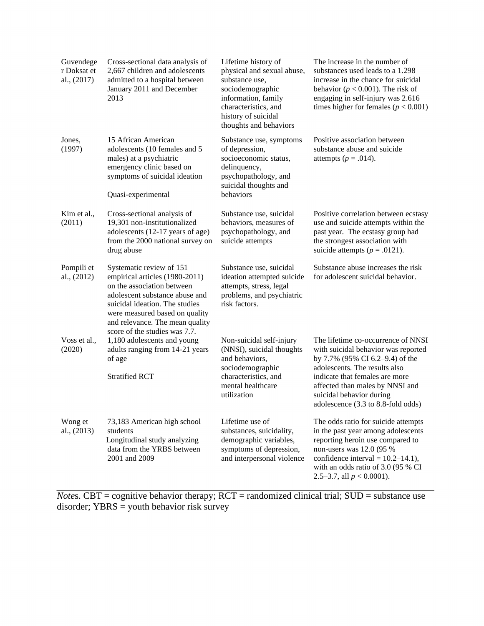| Guvendege<br>r Doksat et<br>al., $(2017)$ | Cross-sectional data analysis of<br>2,667 children and adolescents<br>admitted to a hospital between<br>January 2011 and December<br>2013                                                                                                                          | Lifetime history of<br>physical and sexual abuse,<br>substance use,<br>sociodemographic<br>information, family<br>characteristics, and<br>history of suicidal<br>thoughts and behaviors | The increase in the number of<br>substances used leads to a 1.298<br>increase in the chance for suicidal<br>behavior ( $p < 0.001$ ). The risk of<br>engaging in self-injury was 2.616<br>times higher for females ( $p < 0.001$ )                                                   |
|-------------------------------------------|--------------------------------------------------------------------------------------------------------------------------------------------------------------------------------------------------------------------------------------------------------------------|-----------------------------------------------------------------------------------------------------------------------------------------------------------------------------------------|--------------------------------------------------------------------------------------------------------------------------------------------------------------------------------------------------------------------------------------------------------------------------------------|
| Jones,<br>(1997)                          | 15 African American<br>adolescents (10 females and 5<br>males) at a psychiatric<br>emergency clinic based on<br>symptoms of suicidal ideation<br>Quasi-experimental                                                                                                | Substance use, symptoms<br>of depression,<br>socioeconomic status,<br>delinquency,<br>psychopathology, and<br>suicidal thoughts and<br>behaviors                                        | Positive association between<br>substance abuse and suicide<br>attempts ( $p = .014$ ).                                                                                                                                                                                              |
| Kim et al.,<br>(2011)                     | Cross-sectional analysis of<br>19,301 non-institutionalized<br>adolescents (12-17 years of age)<br>from the 2000 national survey on<br>drug abuse                                                                                                                  | Substance use, suicidal<br>behaviors, measures of<br>psychopathology, and<br>suicide attempts                                                                                           | Positive correlation between ecstasy<br>use and suicide attempts within the<br>past year. The ecstasy group had<br>the strongest association with<br>suicide attempts ( $p = .0121$ ).                                                                                               |
| Pompili et<br>al., $(2012)$               | Systematic review of 151<br>empirical articles (1980-2011)<br>on the association between<br>adolescent substance abuse and<br>suicidal ideation. The studies<br>were measured based on quality<br>and relevance. The mean quality<br>score of the studies was 7.7. | Substance use, suicidal<br>ideation attempted suicide<br>attempts, stress, legal<br>problems, and psychiatric<br>risk factors.                                                          | Substance abuse increases the risk<br>for adolescent suicidal behavior.                                                                                                                                                                                                              |
| Voss et al.,<br>(2020)                    | 1,180 adolescents and young<br>adults ranging from 14-21 years<br>of age<br><b>Stratified RCT</b>                                                                                                                                                                  | Non-suicidal self-injury<br>(NNSI), suicidal thoughts<br>and behaviors,<br>sociodemographic<br>characteristics, and<br>mental healthcare<br>utilization                                 | The lifetime co-occurrence of NNSI<br>with suicidal behavior was reported<br>by 7.7% (95% CI 6.2–9.4) of the<br>adolescents. The results also<br>indicate that females are more<br>affected than males by NNSI and<br>suicidal behavior during<br>adolescence (3.3 to 8.8-fold odds) |
| Wong et<br>al., (2013)                    | 73,183 American high school<br>students<br>Longitudinal study analyzing<br>data from the YRBS between<br>2001 and 2009                                                                                                                                             | Lifetime use of<br>substances, suicidality,<br>demographic variables,<br>symptoms of depression,<br>and interpersonal violence                                                          | The odds ratio for suicide attempts<br>in the past year among adolescents<br>reporting heroin use compared to<br>non-users was 12.0 (95 %<br>confidence interval = $10.2-14.1$ ),<br>with an odds ratio of 3.0 (95 % CI<br>2.5–3.7, all $p < 0.0001$ ).                              |

*Notes.* CBT = cognitive behavior therapy; RCT = randomized clinical trial; SUD = substance use disorder; YBRS = youth behavior risk survey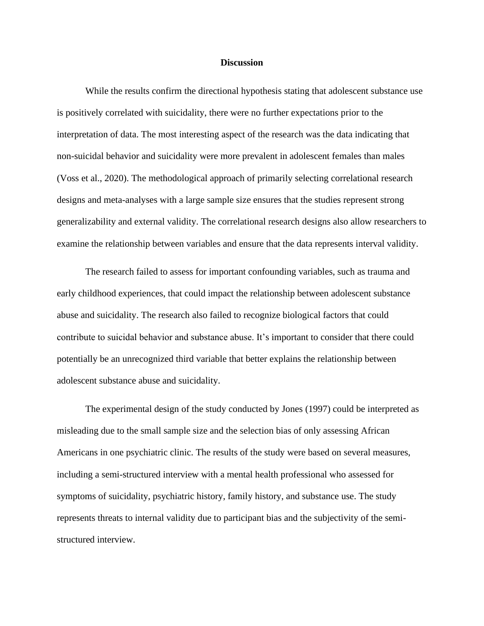## **Discussion**

While the results confirm the directional hypothesis stating that adolescent substance use is positively correlated with suicidality, there were no further expectations prior to the interpretation of data. The most interesting aspect of the research was the data indicating that non-suicidal behavior and suicidality were more prevalent in adolescent females than males (Voss et al., 2020). The methodological approach of primarily selecting correlational research designs and meta-analyses with a large sample size ensures that the studies represent strong generalizability and external validity. The correlational research designs also allow researchers to examine the relationship between variables and ensure that the data represents interval validity.

The research failed to assess for important confounding variables, such as trauma and early childhood experiences, that could impact the relationship between adolescent substance abuse and suicidality. The research also failed to recognize biological factors that could contribute to suicidal behavior and substance abuse. It's important to consider that there could potentially be an unrecognized third variable that better explains the relationship between adolescent substance abuse and suicidality.

The experimental design of the study conducted by Jones (1997) could be interpreted as misleading due to the small sample size and the selection bias of only assessing African Americans in one psychiatric clinic. The results of the study were based on several measures, including a semi-structured interview with a mental health professional who assessed for symptoms of suicidality, psychiatric history, family history, and substance use. The study represents threats to internal validity due to participant bias and the subjectivity of the semistructured interview.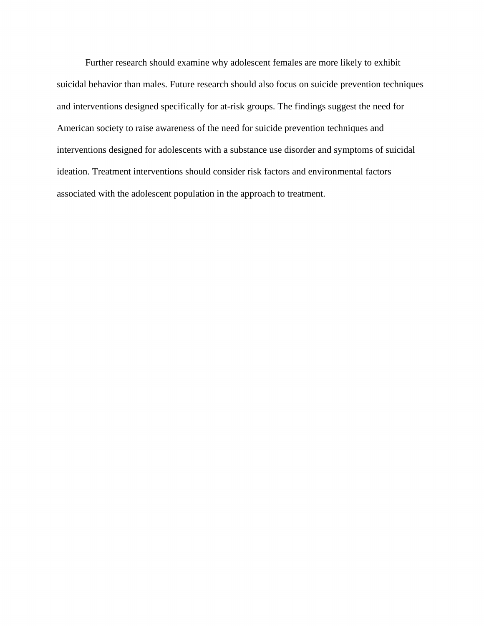Further research should examine why adolescent females are more likely to exhibit suicidal behavior than males. Future research should also focus on suicide prevention techniques and interventions designed specifically for at-risk groups. The findings suggest the need for American society to raise awareness of the need for suicide prevention techniques and interventions designed for adolescents with a substance use disorder and symptoms of suicidal ideation. Treatment interventions should consider risk factors and environmental factors associated with the adolescent population in the approach to treatment.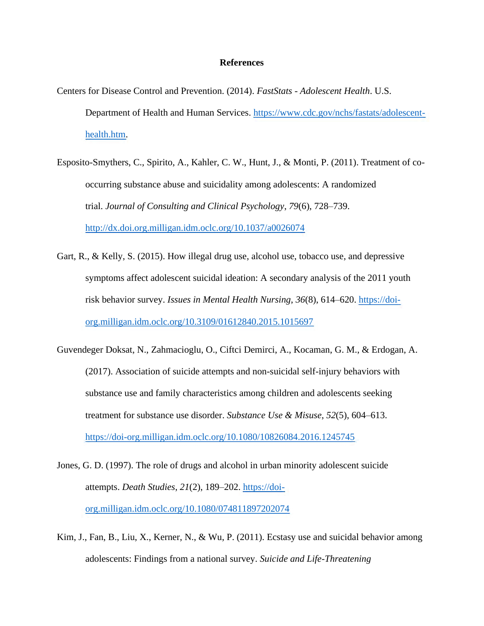# **References**

- Centers for Disease Control and Prevention. (2014). *FastStats - Adolescent Health*. U.S. Department of Health and Human Services. [https://www.cdc.gov/nchs/fastats/adolescent](https://www.cdc.gov/nchs/fastats/adolescent-health.htm)[health.htm.](https://www.cdc.gov/nchs/fastats/adolescent-health.htm)
- Esposito-Smythers, C., Spirito, A., Kahler, C. W., Hunt, J., & Monti, P. (2011). Treatment of cooccurring substance abuse and suicidality among adolescents: A randomized trial. *Journal of Consulting and Clinical Psychology*, *79*(6), 728–739. <http://dx.doi.org.milligan.idm.oclc.org/10.1037/a0026074>
- Gart, R., & Kelly, S. (2015). How illegal drug use, alcohol use, tobacco use, and depressive symptoms affect adolescent suicidal ideation: A secondary analysis of the 2011 youth risk behavior survey. *Issues in Mental Health Nursing*, *36*(8), 614–620. [https://doi](https://doi-org.milligan.idm.oclc.org/10.3109/01612840.2015.1015697)[org.milligan.idm.oclc.org/10.3109/01612840.2015.1015697](https://doi-org.milligan.idm.oclc.org/10.3109/01612840.2015.1015697)
- Guvendeger Doksat, N., Zahmacioglu, O., Ciftci Demirci, A., Kocaman, G. M., & Erdogan, A. (2017). Association of suicide attempts and non-suicidal self-injury behaviors with substance use and family characteristics among children and adolescents seeking treatment for substance use disorder. *Substance Use & Misuse*, *52*(5), 604–613. <https://doi-org.milligan.idm.oclc.org/10.1080/10826084.2016.1245745>
- Jones, G. D. (1997). The role of drugs and alcohol in urban minority adolescent suicide attempts. *Death Studies*, *21*(2), 189–202. [https://doi](https://doi-org.milligan.idm.oclc.org/10.1080/074811897202074)[org.milligan.idm.oclc.org/10.1080/074811897202074](https://doi-org.milligan.idm.oclc.org/10.1080/074811897202074)
- Kim, J., Fan, B., Liu, X., Kerner, N., & Wu, P. (2011). Ecstasy use and suicidal behavior among adolescents: Findings from a national survey. *Suicide and Life-Threatening*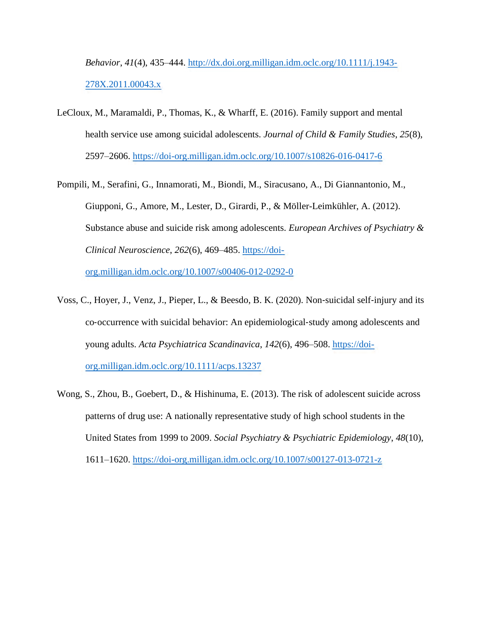*Behavior*, *41*(4), 435–444. [http://dx.doi.org.milligan.idm.oclc.org/10.1111/j.1943-](http://dx.doi.org.milligan.idm.oclc.org/10.1111/j.1943-278X.2011.00043.x) [278X.2011.00043.x](http://dx.doi.org.milligan.idm.oclc.org/10.1111/j.1943-278X.2011.00043.x)

- LeCloux, M., Maramaldi, P., Thomas, K., & Wharff, E. (2016). Family support and mental health service use among suicidal adolescents. *Journal of Child & Family Studies*, *25*(8), 2597–2606.<https://doi-org.milligan.idm.oclc.org/10.1007/s10826-016-0417-6>
- Pompili, M., Serafini, G., Innamorati, M., Biondi, M., Siracusano, A., Di Giannantonio, M., Giupponi, G., Amore, M., Lester, D., Girardi, P., & Möller-Leimkühler, A. (2012). Substance abuse and suicide risk among adolescents. *European Archives of Psychiatry & Clinical Neuroscience*, *262*(6), 469–485. [https://doi](https://doi-org.milligan.idm.oclc.org/10.1007/s00406-012-0292-0)[org.milligan.idm.oclc.org/10.1007/s00406-012-0292-0](https://doi-org.milligan.idm.oclc.org/10.1007/s00406-012-0292-0)

Voss, C., Hoyer, J., Venz, J., Pieper, L., & Beesdo, B. K. (2020). Non‐suicidal self‐injury and its co‐occurrence with suicidal behavior: An epidemiological‐study among adolescents and young adults. *Acta Psychiatrica Scandinavica*, *142*(6), 496–508. [https://doi-](https://doi-org.milligan.idm.oclc.org/10.1111/acps.13237)

[org.milligan.idm.oclc.org/10.1111/acps.13237](https://doi-org.milligan.idm.oclc.org/10.1111/acps.13237)

Wong, S., Zhou, B., Goebert, D., & Hishinuma, E. (2013). The risk of adolescent suicide across patterns of drug use: A nationally representative study of high school students in the United States from 1999 to 2009. *Social Psychiatry & Psychiatric Epidemiology*, *48*(10), 1611–1620.<https://doi-org.milligan.idm.oclc.org/10.1007/s00127-013-0721-z>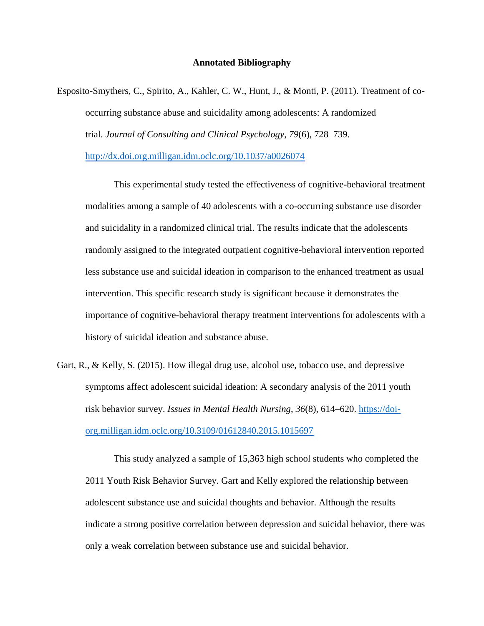#### **Annotated Bibliography**

Esposito-Smythers, C., Spirito, A., Kahler, C. W., Hunt, J., & Monti, P. (2011). Treatment of cooccurring substance abuse and suicidality among adolescents: A randomized trial. *Journal of Consulting and Clinical Psychology*, *79*(6), 728–739.

<http://dx.doi.org.milligan.idm.oclc.org/10.1037/a0026074>

This experimental study tested the effectiveness of cognitive-behavioral treatment modalities among a sample of 40 adolescents with a co-occurring substance use disorder and suicidality in a randomized clinical trial. The results indicate that the adolescents randomly assigned to the integrated outpatient cognitive-behavioral intervention reported less substance use and suicidal ideation in comparison to the enhanced treatment as usual intervention. This specific research study is significant because it demonstrates the importance of cognitive-behavioral therapy treatment interventions for adolescents with a history of suicidal ideation and substance abuse.

Gart, R., & Kelly, S. (2015). How illegal drug use, alcohol use, tobacco use, and depressive symptoms affect adolescent suicidal ideation: A secondary analysis of the 2011 youth risk behavior survey. *Issues in Mental Health Nursing*, *36*(8), 614–620. [https://doi](https://doi-org.milligan.idm.oclc.org/10.3109/01612840.2015.1015697)[org.milligan.idm.oclc.org/10.3109/01612840.2015.1015697](https://doi-org.milligan.idm.oclc.org/10.3109/01612840.2015.1015697)

This study analyzed a sample of 15,363 high school students who completed the 2011 Youth Risk Behavior Survey. Gart and Kelly explored the relationship between adolescent substance use and suicidal thoughts and behavior. Although the results indicate a strong positive correlation between depression and suicidal behavior, there was only a weak correlation between substance use and suicidal behavior.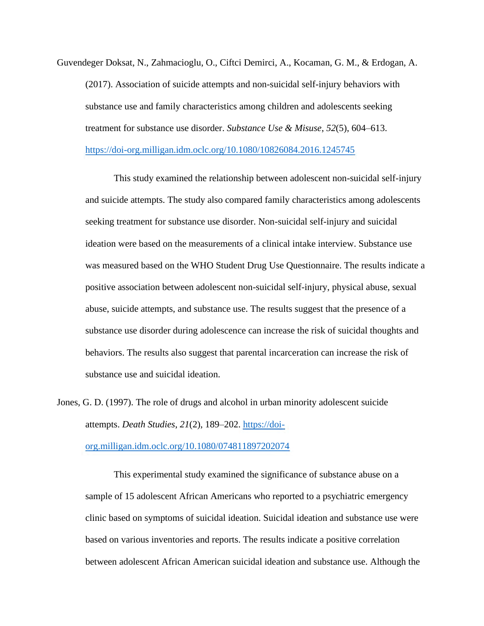Guvendeger Doksat, N., Zahmacioglu, O., Ciftci Demirci, A., Kocaman, G. M., & Erdogan, A. (2017). Association of suicide attempts and non-suicidal self-injury behaviors with substance use and family characteristics among children and adolescents seeking treatment for substance use disorder. *Substance Use & Misuse*, *52*(5), 604–613. <https://doi-org.milligan.idm.oclc.org/10.1080/10826084.2016.1245745>

This study examined the relationship between adolescent non-suicidal self-injury and suicide attempts. The study also compared family characteristics among adolescents seeking treatment for substance use disorder. Non-suicidal self-injury and suicidal ideation were based on the measurements of a clinical intake interview. Substance use was measured based on the WHO Student Drug Use Questionnaire. The results indicate a positive association between adolescent non-suicidal self-injury, physical abuse, sexual abuse, suicide attempts, and substance use. The results suggest that the presence of a substance use disorder during adolescence can increase the risk of suicidal thoughts and behaviors. The results also suggest that parental incarceration can increase the risk of substance use and suicidal ideation.

Jones, G. D. (1997). The role of drugs and alcohol in urban minority adolescent suicide attempts. *Death Studies*, *21*(2), 189–202. [https://doi-](https://doi-org.milligan.idm.oclc.org/10.1080/074811897202074)

[org.milligan.idm.oclc.org/10.1080/074811897202074](https://doi-org.milligan.idm.oclc.org/10.1080/074811897202074)

This experimental study examined the significance of substance abuse on a sample of 15 adolescent African Americans who reported to a psychiatric emergency clinic based on symptoms of suicidal ideation. Suicidal ideation and substance use were based on various inventories and reports. The results indicate a positive correlation between adolescent African American suicidal ideation and substance use. Although the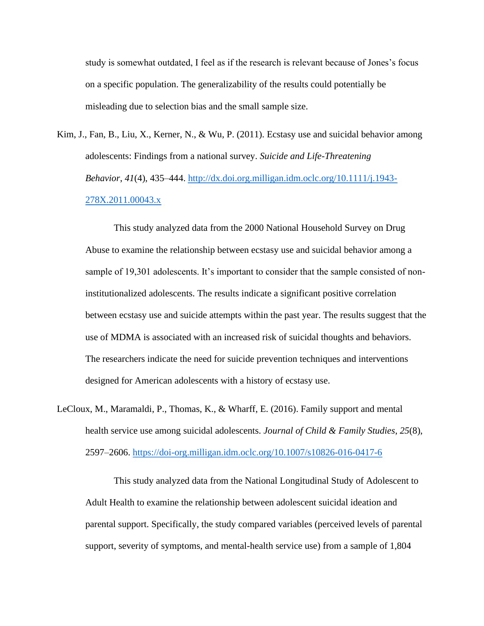study is somewhat outdated, I feel as if the research is relevant because of Jones's focus on a specific population. The generalizability of the results could potentially be misleading due to selection bias and the small sample size.

Kim, J., Fan, B., Liu, X., Kerner, N., & Wu, P. (2011). Ecstasy use and suicidal behavior among adolescents: Findings from a national survey. *Suicide and Life-Threatening Behavior*, *41*(4), 435–444. [http://dx.doi.org.milligan.idm.oclc.org/10.1111/j.1943-](http://dx.doi.org.milligan.idm.oclc.org/10.1111/j.1943-278X.2011.00043.x) [278X.2011.00043.x](http://dx.doi.org.milligan.idm.oclc.org/10.1111/j.1943-278X.2011.00043.x)

This study analyzed data from the 2000 National Household Survey on Drug Abuse to examine the relationship between ecstasy use and suicidal behavior among a sample of 19,301 adolescents. It's important to consider that the sample consisted of noninstitutionalized adolescents. The results indicate a significant positive correlation between ecstasy use and suicide attempts within the past year. The results suggest that the use of MDMA is associated with an increased risk of suicidal thoughts and behaviors. The researchers indicate the need for suicide prevention techniques and interventions designed for American adolescents with a history of ecstasy use.

LeCloux, M., Maramaldi, P., Thomas, K., & Wharff, E. (2016). Family support and mental health service use among suicidal adolescents. *Journal of Child & Family Studies*, *25*(8), 2597–2606.<https://doi-org.milligan.idm.oclc.org/10.1007/s10826-016-0417-6>

This study analyzed data from the National Longitudinal Study of Adolescent to Adult Health to examine the relationship between adolescent suicidal ideation and parental support. Specifically, the study compared variables (perceived levels of parental support, severity of symptoms, and mental-health service use) from a sample of 1,804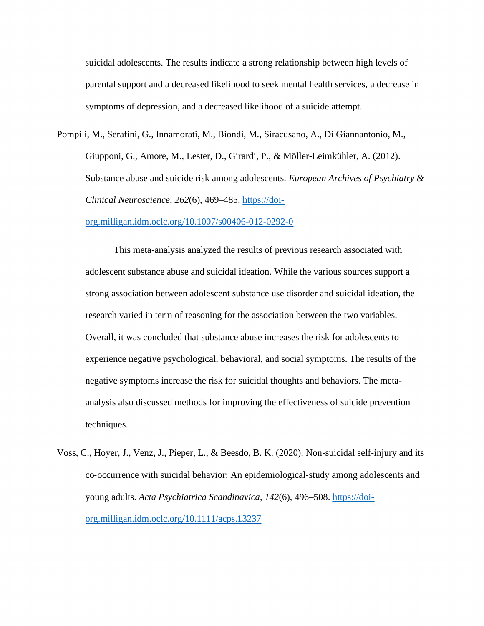suicidal adolescents. The results indicate a strong relationship between high levels of parental support and a decreased likelihood to seek mental health services, a decrease in symptoms of depression, and a decreased likelihood of a suicide attempt.

Pompili, M., Serafini, G., Innamorati, M., Biondi, M., Siracusano, A., Di Giannantonio, M., Giupponi, G., Amore, M., Lester, D., Girardi, P., & Möller-Leimkühler, A. (2012). Substance abuse and suicide risk among adolescents. *European Archives of Psychiatry & Clinical Neuroscience*, *262*(6), 469–485. [https://doi-](https://doi-org.milligan.idm.oclc.org/10.1007/s00406-012-0292-0)

[org.milligan.idm.oclc.org/10.1007/s00406-012-0292-0](https://doi-org.milligan.idm.oclc.org/10.1007/s00406-012-0292-0)

This meta-analysis analyzed the results of previous research associated with adolescent substance abuse and suicidal ideation. While the various sources support a strong association between adolescent substance use disorder and suicidal ideation, the research varied in term of reasoning for the association between the two variables. Overall, it was concluded that substance abuse increases the risk for adolescents to experience negative psychological, behavioral, and social symptoms. The results of the negative symptoms increase the risk for suicidal thoughts and behaviors. The metaanalysis also discussed methods for improving the effectiveness of suicide prevention techniques.

Voss, C., Hoyer, J., Venz, J., Pieper, L., & Beesdo, B. K. (2020). Non‐suicidal self‐injury and its co‐occurrence with suicidal behavior: An epidemiological‐study among adolescents and young adults. *Acta Psychiatrica Scandinavica*, *142*(6), 496–508. [https://doi](https://doi-org.milligan.idm.oclc.org/10.1111/acps.13237)[org.milligan.idm.oclc.org/10.1111/acps.13237](https://doi-org.milligan.idm.oclc.org/10.1111/acps.13237)